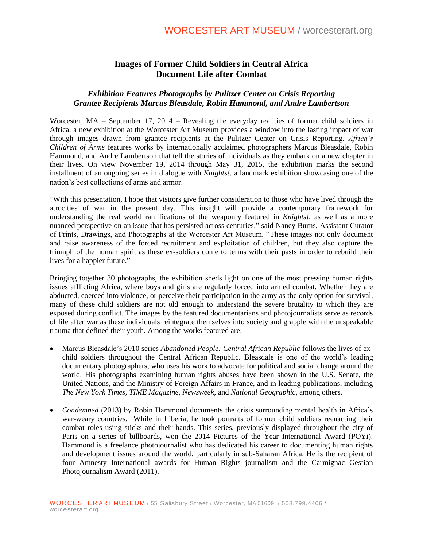# **Images of Former Child Soldiers in Central Africa Document Life after Combat**

## *Exhibition Features Photographs by Pulitzer Center on Crisis Reporting Grantee Recipients Marcus Bleasdale, Robin Hammond, and Andre Lambertson*

Worcester, MA – September 17, 2014 – Revealing the everyday realities of former child soldiers in Africa, a new exhibition at the Worcester Art Museum provides a window into the lasting impact of war through images drawn from grantee recipients at the Pulitzer Center on Crisis Reporting. *Africa's Children of Arms* features works by internationally acclaimed photographers Marcus Bleasdale, Robin Hammond, and Andre Lambertson that tell the stories of individuals as they embark on a new chapter in their lives. On view November 19, 2014 through May 31, 2015, the exhibition marks the second installment of an ongoing series in dialogue with *Knights!*, a landmark exhibition showcasing one of the nation's best collections of arms and armor.

"With this presentation, I hope that visitors give further consideration to those who have lived through the atrocities of war in the present day. This insight will provide a contemporary framework for understanding the real world ramifications of the weaponry featured in *Knights!*, as well as a more nuanced perspective on an issue that has persisted across centuries," said Nancy Burns, Assistant Curator of Prints, Drawings, and Photographs at the Worcester Art Museum. "These images not only document and raise awareness of the forced recruitment and exploitation of children, but they also capture the triumph of the human spirit as these ex-soldiers come to terms with their pasts in order to rebuild their lives for a happier future."

Bringing together 30 photographs, the exhibition sheds light on one of the most pressing human rights issues afflicting Africa, where boys and girls are regularly forced into armed combat. Whether they are abducted, coerced into violence, or perceive their participation in the army as the only option for survival, many of these child soldiers are not old enough to understand the severe brutality to which they are exposed during conflict. The images by the featured documentarians and photojournalists serve as records of life after war as these individuals reintegrate themselves into society and grapple with the unspeakable trauma that defined their youth. Among the works featured are:

- Marcus Bleasdale's 2010 series *Abandoned People: Central African Republic* follows the lives of exchild soldiers throughout the Central African Republic. Bleasdale is one of the world's leading documentary photographers, who uses his work to advocate for political and social change around the world. His photographs examining human rights abuses have been shown in the U.S. Senate, the United Nations, and the Ministry of Foreign Affairs in France, and in leading publications, including *The New York Times, TIME Magazine, Newsweek*, and *National Geographic*, among others.
- *Condemned* (2013) by Robin Hammond documents the crisis surrounding mental health in Africa's war-weary countries. While in Liberia, he took portraits of former child soldiers reenacting their combat roles using sticks and their hands. This series, previously displayed throughout the city of Paris on a series of billboards, won the 2014 Pictures of the Year International Award (POYi). Hammond is a freelance photojournalist who has dedicated his career to documenting human rights and development issues around the world, particularly in sub-Saharan Africa. He is the recipient of four Amnesty International awards for Human Rights journalism and the Carmignac Gestion Photojournalism Award (2011).